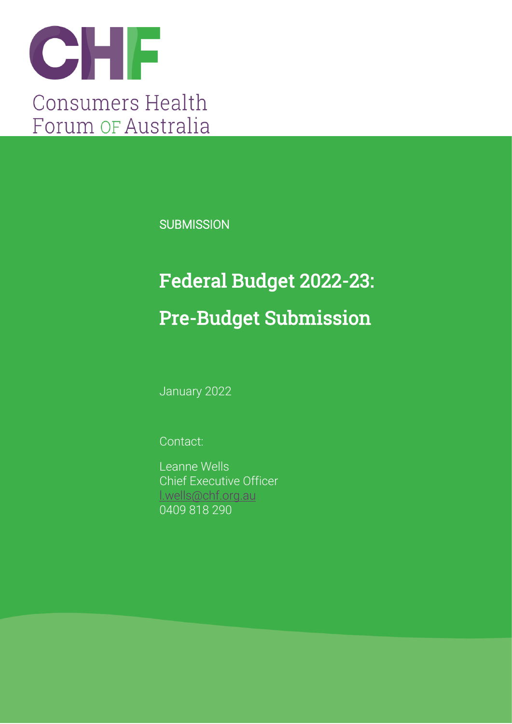

**SUBMISSION** 

# Federal Budget 2022-23: Pre-Budget Submission

January 2022

Contact:

Leanne Wells Chief Executive Officer [l.wells@chf.org.au](mailto:l.wells@chf.org.au) 0409 818 290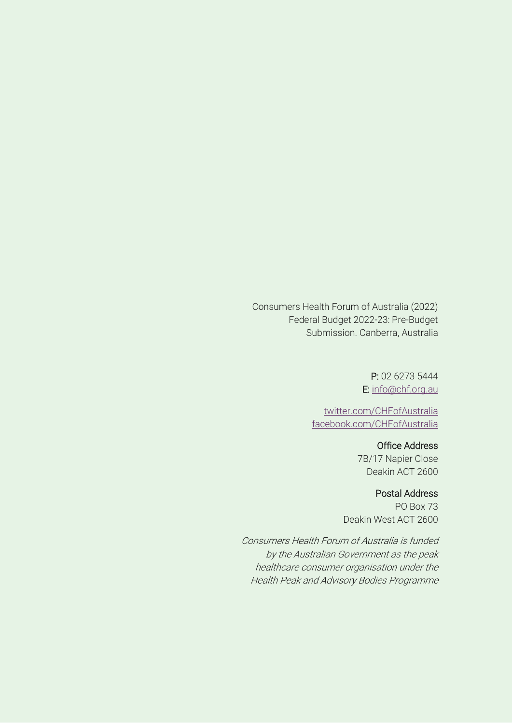Consumers Health Forum of Australia (2022) Federal Budget 2022-23: Pre-Budget Submission. Canberra, Australia

> P: 02 6273 5444 E: [info@chf.org.au](mailto:info@chf.org.au)

[twitter.com/CHFofAustralia](http://twitter.com/CHFofAustralia)  [facebook.com/CHFofAustralia](http://facebook.com/CHFofAustralia)

> Office Address 7B/17 Napier Close Deakin ACT 2600

#### Postal Address

PO Box 73 Deakin West ACT 2600

Consumers Health Forum of Australia is funded by the Australian Government as the peak healthcare consumer organisation under the Health Peak and Advisory Bodies Programme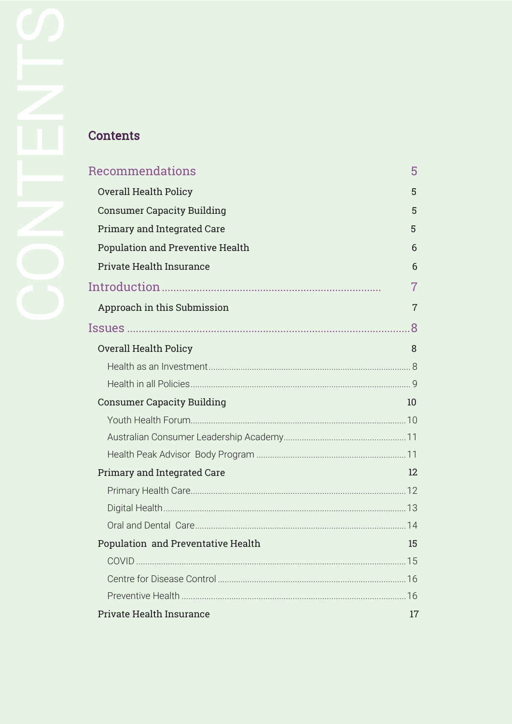| Recommendations                         | 5              |
|-----------------------------------------|----------------|
| <b>Overall Health Policy</b>            | 5              |
| <b>Consumer Capacity Building</b>       | 5              |
| <b>Primary and Integrated Care</b>      | 5              |
| <b>Population and Preventive Health</b> | 6              |
| <b>Private Health Insurance</b>         | 6              |
|                                         | 7              |
| Approach in this Submission             | $\overline{7}$ |
|                                         | .8             |
| <b>Overall Health Policy</b>            | 8              |
|                                         |                |
|                                         |                |
| <b>Consumer Capacity Building</b>       | 10             |
|                                         |                |
|                                         |                |
|                                         |                |
| <b>Primary and Integrated Care</b>      | 12             |
|                                         |                |
|                                         |                |
|                                         |                |
| Population and Preventative Health      | 15             |
|                                         |                |
|                                         |                |
|                                         |                |
| <b>Private Health Insurance</b>         | 17             |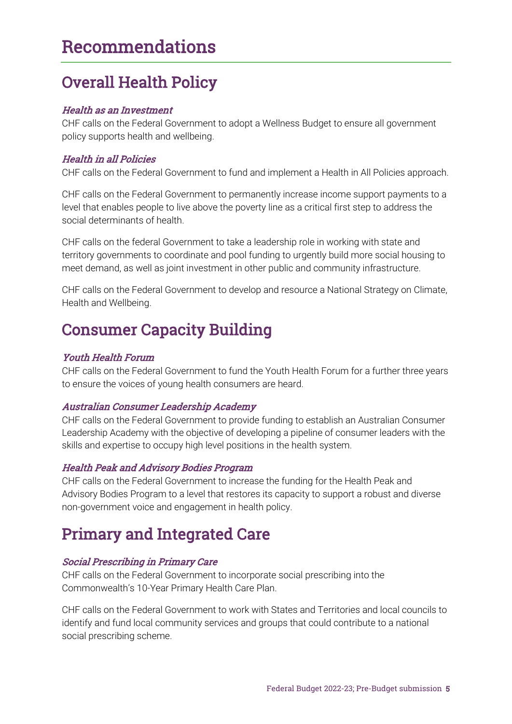### Recommendations

### <span id="page-3-0"></span>Overall Health Policy

#### Health as an Investment

CHF calls on the Federal Government to adopt a Wellness Budget to ensure all government policy supports health and wellbeing.

#### Health in all Policies

CHF calls on the Federal Government to fund and implement a Health in All Policies approach.

CHF calls on the Federal Government to permanently increase income support payments to a level that enables people to live above the poverty line as a critical first step to address the social determinants of health.

CHF calls on the federal Government to take a leadership role in working with state and territory governments to coordinate and pool funding to urgently build more social housing to meet demand, as well as joint investment in other public and community infrastructure.

CHF calls on the Federal Government to develop and resource a National Strategy on Climate, Health and Wellbeing.

### <span id="page-3-1"></span>Consumer Capacity Building

#### Youth Health Forum

CHF calls on the Federal Government to fund the Youth Health Forum for a further three years to ensure the voices of young health consumers are heard.

#### Australian Consumer Leadership Academy

CHF calls on the Federal Government to provide funding to establish an Australian Consumer Leadership Academy with the objective of developing a pipeline of consumer leaders with the skills and expertise to occupy high level positions in the health system.

#### Health Peak and Advisory Bodies Program

CHF calls on the Federal Government to increase the funding for the Health Peak and Advisory Bodies Program to a level that restores its capacity to support a robust and diverse non-government voice and engagement in health policy.

### <span id="page-3-2"></span>Primary and Integrated Care

#### Social Prescribing in Primary Care

CHF calls on the Federal Government to incorporate social prescribing into the Commonwealth's 10-Year Primary Health Care Plan.

CHF calls on the Federal Government to work with States and Territories and local councils to identify and fund local community services and groups that could contribute to a national social prescribing scheme.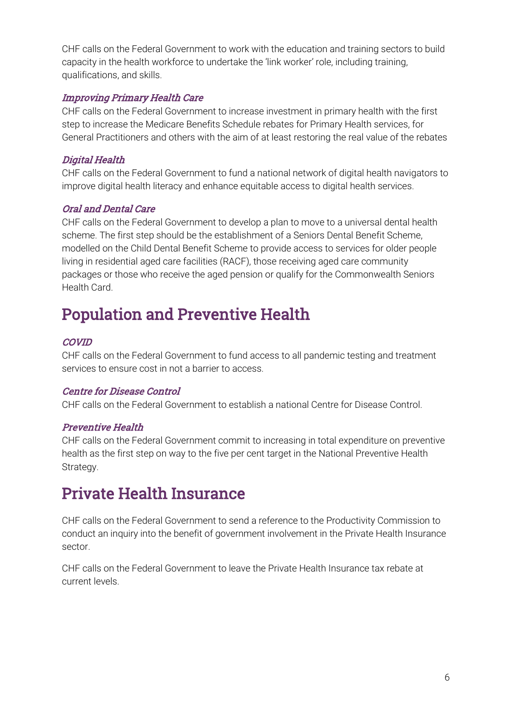CHF calls on the Federal Government to work with the education and training sectors to build capacity in the health workforce to undertake the 'link worker' role, including training, qualifications, and skills.

#### Improving Primary Health Care

CHF calls on the Federal Government to increase investment in primary health with the first step to increase the Medicare Benefits Schedule rebates for Primary Health services, for General Practitioners and others with the aim of at least restoring the real value of the rebates

#### Digital Health

CHF calls on the Federal Government to fund a national network of digital health navigators to improve digital health literacy and enhance equitable access to digital health services.

#### Oral and Dental Care

CHF calls on the Federal Government to develop a plan to move to a universal dental health scheme. The first step should be the establishment of a Seniors Dental Benefit Scheme, modelled on the Child Dental Benefit Scheme to provide access to services for older people living in residential aged care facilities (RACF), those receiving aged care community packages or those who receive the aged pension or qualify for the Commonwealth Seniors Health Card.

### <span id="page-4-0"></span>Population and Preventive Health

#### **COVID**

CHF calls on the Federal Government to fund access to all pandemic testing and treatment services to ensure cost in not a barrier to access.

#### Centre for Disease Control

CHF calls on the Federal Government to establish a national Centre for Disease Control.

#### Preventive Health

CHF calls on the Federal Government commit to increasing in total expenditure on preventive health as the first step on way to the five per cent target in the National Preventive Health Strategy.

### <span id="page-4-1"></span>Private Health Insurance

CHF calls on the Federal Government to send a reference to the Productivity Commission to conduct an inquiry into the benefit of government involvement in the Private Health Insurance sector.

<span id="page-4-2"></span>CHF calls on the Federal Government to leave the Private Health Insurance tax rebate at current levels.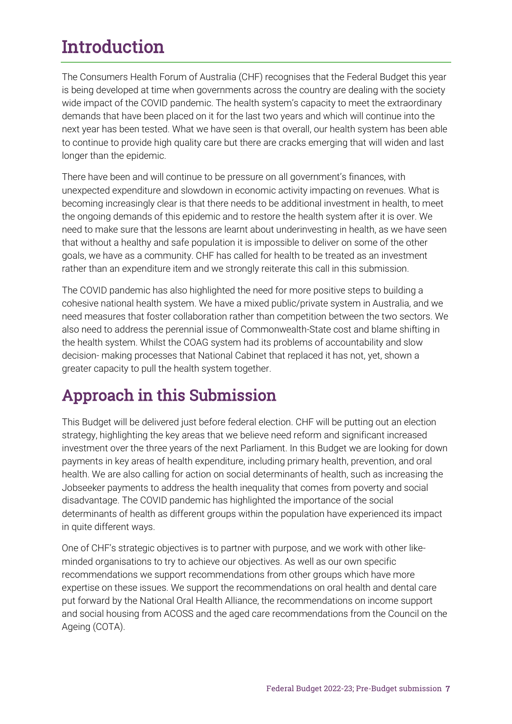## **Introduction**

The Consumers Health Forum of Australia (CHF) recognises that the Federal Budget this year is being developed at time when governments across the country are dealing with the society wide impact of the COVID pandemic. The health system's capacity to meet the extraordinary demands that have been placed on it for the last two years and which will continue into the next year has been tested. What we have seen is that overall, our health system has been able to continue to provide high quality care but there are cracks emerging that will widen and last longer than the epidemic.

There have been and will continue to be pressure on all government's finances, with unexpected expenditure and slowdown in economic activity impacting on revenues. What is becoming increasingly clear is that there needs to be additional investment in health, to meet the ongoing demands of this epidemic and to restore the health system after it is over. We need to make sure that the lessons are learnt about underinvesting in health, as we have seen that without a healthy and safe population it is impossible to deliver on some of the other goals, we have as a community. CHF has called for health to be treated as an investment rather than an expenditure item and we strongly reiterate this call in this submission.

The COVID pandemic has also highlighted the need for more positive steps to building a cohesive national health system. We have a mixed public/private system in Australia, and we need measures that foster collaboration rather than competition between the two sectors. We also need to address the perennial issue of Commonwealth-State cost and blame shifting in the health system. Whilst the COAG system had its problems of accountability and slow decision- making processes that National Cabinet that replaced it has not, yet, shown a greater capacity to pull the health system together.

### <span id="page-5-0"></span>Approach in this Submission

This Budget will be delivered just before federal election. CHF will be putting out an election strategy, highlighting the key areas that we believe need reform and significant increased investment over the three years of the next Parliament. In this Budget we are looking for down payments in key areas of health expenditure, including primary health, prevention, and oral health. We are also calling for action on social determinants of health, such as increasing the Jobseeker payments to address the health inequality that comes from poverty and social disadvantage. The COVID pandemic has highlighted the importance of the social determinants of health as different groups within the population have experienced its impact in quite different ways.

One of CHF's strategic objectives is to partner with purpose, and we work with other likeminded organisations to try to achieve our objectives. As well as our own specific recommendations we support recommendations from other groups which have more expertise on these issues. We support the recommendations on oral health and dental care put forward by the National Oral Health Alliance, the recommendations on income support and social housing from ACOSS and the aged care recommendations from the Council on the Ageing (COTA).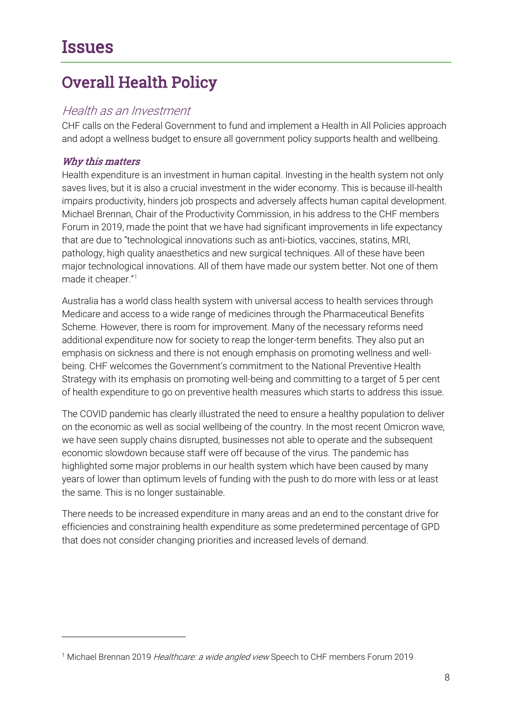### <span id="page-6-1"></span><span id="page-6-0"></span>Overall Health Policy

#### <span id="page-6-2"></span>Health as an Investment

CHF calls on the Federal Government to fund and implement a Health in All Policies approach and adopt a wellness budget to ensure all government policy supports health and wellbeing.

#### Why this matters

Health expenditure is an investment in human capital. Investing in the health system not only saves lives, but it is also a crucial investment in the wider economy. This is because ill-health impairs productivity, hinders job prospects and adversely affects human capital development. Michael Brennan, Chair of the Productivity Commission, in his address to the CHF members Forum in 2019, made the point that we have had significant improvements in life expectancy that are due to "technological innovations such as anti-biotics, vaccines, statins, MRI, pathology, high quality anaesthetics and new surgical techniques. All of these have been major technological innovations. All of them have made our system better. Not one of them made it cheaper."[1](#page-6-4)

Australia has a world class health system with universal access to health services through Medicare and access to a wide range of medicines through the Pharmaceutical Benefits Scheme. However, there is room for improvement. Many of the necessary reforms need additional expenditure now for society to reap the longer-term benefits. They also put an emphasis on sickness and there is not enough emphasis on promoting wellness and wellbeing. CHF welcomes the Government's commitment to the National Preventive Health Strategy with its emphasis on promoting well-being and committing to a target of 5 per cent of health expenditure to go on preventive health measures which starts to address this issue.

The COVID pandemic has clearly illustrated the need to ensure a healthy population to deliver on the economic as well as social wellbeing of the country. In the most recent Omicron wave, we have seen supply chains disrupted, businesses not able to operate and the subsequent economic slowdown because staff were off because of the virus. The pandemic has highlighted some major problems in our health system which have been caused by many years of lower than optimum levels of funding with the push to do more with less or at least the same. This is no longer sustainable.

<span id="page-6-3"></span>There needs to be increased expenditure in many areas and an end to the constant drive for efficiencies and constraining health expenditure as some predetermined percentage of GPD that does not consider changing priorities and increased levels of demand.

<span id="page-6-4"></span><sup>&</sup>lt;sup>1</sup> Michael Brennan 2019 Healthcare: a wide angled view Speech to CHF members Forum 2019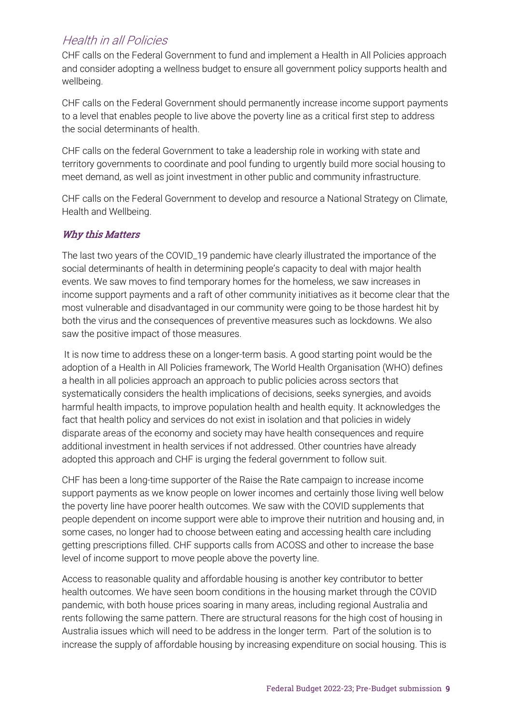#### Health in all Policies

CHF calls on the Federal Government to fund and implement a Health in All Policies approach and consider adopting a wellness budget to ensure all government policy supports health and wellbeing.

CHF calls on the Federal Government should permanently increase income support payments to a level that enables people to live above the poverty line as a critical first step to address the social determinants of health.

CHF calls on the federal Government to take a leadership role in working with state and territory governments to coordinate and pool funding to urgently build more social housing to meet demand, as well as joint investment in other public and community infrastructure.

CHF calls on the Federal Government to develop and resource a National Strategy on Climate, Health and Wellbeing.

#### Why this Matters

The last two years of the COVID\_19 pandemic have clearly illustrated the importance of the social determinants of health in determining people's capacity to deal with major health events. We saw moves to find temporary homes for the homeless, we saw increases in income support payments and a raft of other community initiatives as it become clear that the most vulnerable and disadvantaged in our community were going to be those hardest hit by both the virus and the consequences of preventive measures such as lockdowns. We also saw the positive impact of those measures.

It is now time to address these on a longer-term basis. A good starting point would be the adoption of a Health in All Policies framework, The World Health Organisation (WHO) defines a health in all policies approach an approach to public policies across sectors that systematically considers the health implications of decisions, seeks synergies, and avoids harmful health impacts, to improve population health and health equity. It acknowledges the fact that health policy and services do not exist in isolation and that policies in widely disparate areas of the economy and society may have health consequences and require additional investment in health services if not addressed. Other countries have already adopted this approach and CHF is urging the federal government to follow suit.

CHF has been a long-time supporter of the Raise the Rate campaign to increase income support payments as we know people on lower incomes and certainly those living well below the poverty line have poorer health outcomes. We saw with the COVID supplements that people dependent on income support were able to improve their nutrition and housing and, in some cases, no longer had to choose between eating and accessing health care including getting prescriptions filled. CHF supports calls from ACOSS and other to increase the base level of income support to move people above the poverty line.

Access to reasonable quality and affordable housing is another key contributor to better health outcomes. We have seen boom conditions in the housing market through the COVID pandemic, with both house prices soaring in many areas, including regional Australia and rents following the same pattern. There are structural reasons for the high cost of housing in Australia issues which will need to be address in the longer term. Part of the solution is to increase the supply of affordable housing by increasing expenditure on social housing. This is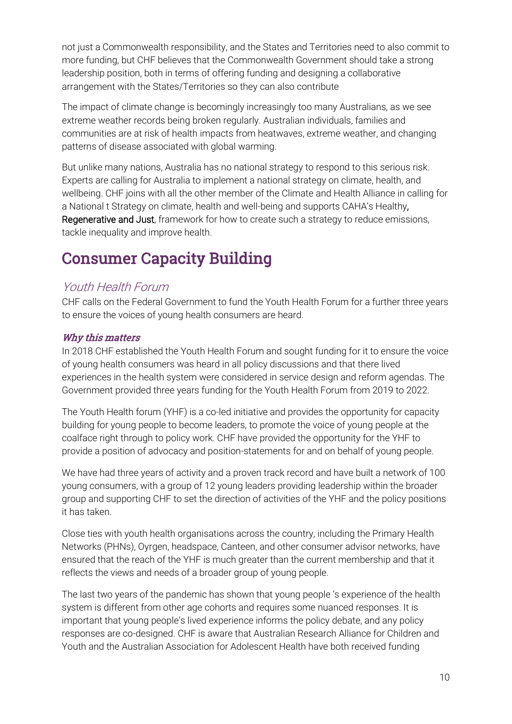not just a Commonwealth responsibility, and the States and Territories need to also commit to more funding, but CHF believes that the Commonwealth Government should take a strong leadership position, both in terms of offering funding and designing a collaborative arrangement with the States/Territories so they can also contribute

The impact of climate change is becomingly increasingly too many Australians, as we see extreme weather records being broken regularly. Australian individuals, families and communities are at risk of health impacts from heatwaves, extreme weather, and changing patterns of disease associated with global warming.

But unlike many nations, Australia has no national strategy to respond to this serious risk. Experts are calling for Australia to implement a national strategy on climate, health, and wellbeing. CHF joins with all the other member of the Climate and Health Alliance in calling for a National t Strategy on climate, health and well-being and supports CAHA's Healthy, Regenerative and Just, framework for how to create such a strategy to reduce emissions, tackle inequality and improve health.

### <span id="page-8-0"></span>Consumer Capacity Building

#### <span id="page-8-1"></span>Youth Health Forum

CHF calls on the Federal Government to fund the Youth Health Forum for a further three years to ensure the voices of young health consumers are heard.

#### Why this matters

In 2018 CHF established the Youth Health Forum and sought funding for it to ensure the voice of young health consumers was heard in all policy discussions and that there lived experiences in the health system were considered in service design and reform agendas. The Government provided three years funding for the Youth Health Forum from 2019 to 2022.

The Youth Health forum (YHF) is a co-led initiative and provides the opportunity for capacity building for young people to become leaders, to promote the voice of young people at the coalface right through to policy work. CHF have provided the opportunity for the YHF to provide a position of advocacy and position-statements for and on behalf of young people.

We have had three years of activity and a proven track record and have built a network of 100 young consumers, with a group of 12 young leaders providing leadership within the broader group and supporting CHF to set the direction of activities of the YHF and the policy positions it has taken.

Close ties with youth health organisations across the country, including the Primary Health Networks (PHNs), Oyrgen, headspace, Canteen, and other consumer advisor networks, have ensured that the reach of the YHF is much greater than the current membership and that it reflects the views and needs of a broader group of young people.

The last two years of the pandemic has shown that young people 's experience of the health system is different from other age cohorts and requires some nuanced responses. It is important that young people's lived experience informs the policy debate, and any policy responses are co-designed. CHF is aware that Australian Research Alliance for Children and Youth and the Australian Association for Adolescent Health have both received funding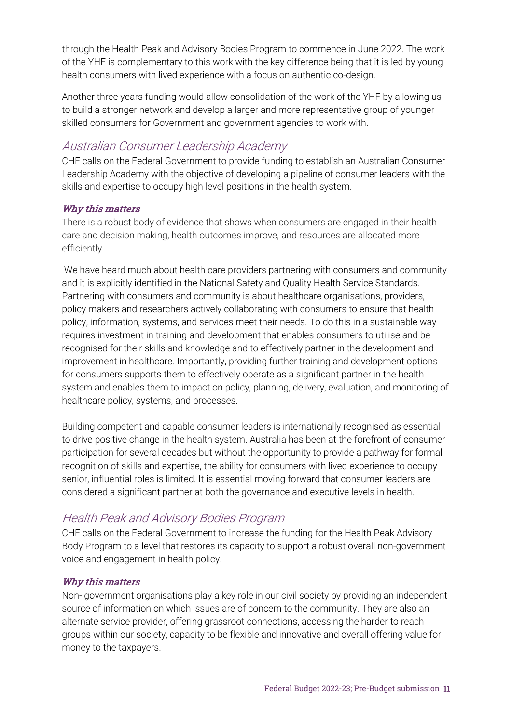through the Health Peak and Advisory Bodies Program to commence in June 2022. The work of the YHF is complementary to this work with the key difference being that it is led by young health consumers with lived experience with a focus on authentic co-design.

Another three years funding would allow consolidation of the work of the YHF by allowing us to build a stronger network and develop a larger and more representative group of younger skilled consumers for Government and government agencies to work with.

#### <span id="page-9-0"></span>Australian Consumer Leadership Academy

CHF calls on the Federal Government to provide funding to establish an Australian Consumer Leadership Academy with the objective of developing a pipeline of consumer leaders with the skills and expertise to occupy high level positions in the health system.

#### Why this matters

There is a robust body of evidence that shows when consumers are engaged in their health care and decision making, health outcomes improve, and resources are allocated more efficiently.

We have heard much about health care providers partnering with consumers and community and it is explicitly identified in the National Safety and Quality Health Service Standards. Partnering with consumers and community is about healthcare organisations, providers, policy makers and researchers actively collaborating with consumers to ensure that health policy, information, systems, and services meet their needs. To do this in a sustainable way requires investment in training and development that enables consumers to utilise and be recognised for their skills and knowledge and to effectively partner in the development and improvement in healthcare. Importantly, providing further training and development options for consumers supports them to effectively operate as a significant partner in the health system and enables them to impact on policy, planning, delivery, evaluation, and monitoring of healthcare policy, systems, and processes.

Building competent and capable consumer leaders is internationally recognised as essential to drive positive change in the health system. Australia has been at the forefront of consumer participation for several decades but without the opportunity to provide a pathway for formal recognition of skills and expertise, the ability for consumers with lived experience to occupy senior, influential roles is limited. It is essential moving forward that consumer leaders are considered a significant partner at both the governance and executive levels in health.

#### <span id="page-9-1"></span>Health Peak and Advisory Bodies Program

CHF calls on the Federal Government to increase the funding for the Health Peak Advisory Body Program to a level that restores its capacity to support a robust overall non-government voice and engagement in health policy.

#### Why this matters

Non- government organisations play a key role in our civil society by providing an independent source of information on which issues are of concern to the community. They are also an alternate service provider, offering grassroot connections, accessing the harder to reach groups within our society, capacity to be flexible and innovative and overall offering value for money to the taxpayers.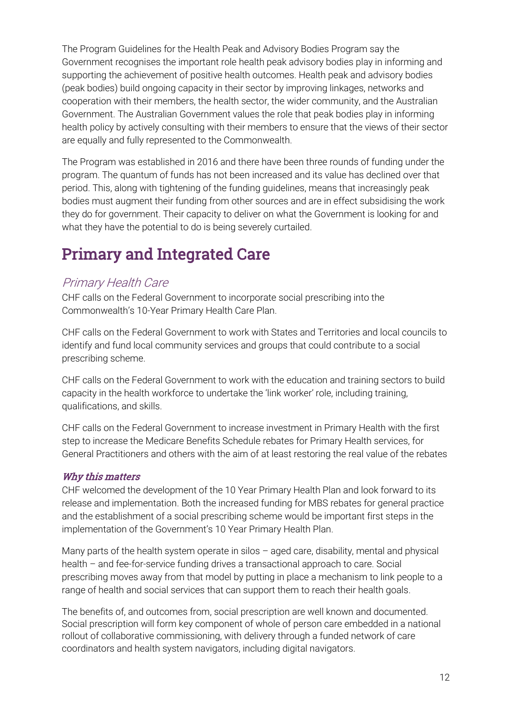The Program Guidelines for the Health Peak and Advisory Bodies Program say the Government recognises the important role health peak advisory bodies play in informing and supporting the achievement of positive health outcomes. Health peak and advisory bodies (peak bodies) build ongoing capacity in their sector by improving linkages, networks and cooperation with their members, the health sector, the wider community, and the Australian Government. The Australian Government values the role that peak bodies play in informing health policy by actively consulting with their members to ensure that the views of their sector are equally and fully represented to the Commonwealth.

The Program was established in 2016 and there have been three rounds of funding under the program. The quantum of funds has not been increased and its value has declined over that period. This, along with tightening of the funding guidelines, means that increasingly peak bodies must augment their funding from other sources and are in effect subsidising the work they do for government. Their capacity to deliver on what the Government is looking for and what they have the potential to do is being severely curtailed.

### <span id="page-10-0"></span>Primary and Integrated Care

#### <span id="page-10-1"></span>Primary Health Care

CHF calls on the Federal Government to incorporate social prescribing into the Commonwealth's 10-Year Primary Health Care Plan.

CHF calls on the Federal Government to work with States and Territories and local councils to identify and fund local community services and groups that could contribute to a social prescribing scheme.

CHF calls on the Federal Government to work with the education and training sectors to build capacity in the health workforce to undertake the 'link worker' role, including training, qualifications, and skills.

CHF calls on the Federal Government to increase investment in Primary Health with the first step to increase the Medicare Benefits Schedule rebates for Primary Health services, for General Practitioners and others with the aim of at least restoring the real value of the rebates

#### Why this matters

CHF welcomed the development of the 10 Year Primary Health Plan and look forward to its release and implementation. Both the increased funding for MBS rebates for general practice and the establishment of a social prescribing scheme would be important first steps in the implementation of the Government's 10 Year Primary Health Plan.

Many parts of the health system operate in silos – aged care, disability, mental and physical health – and fee-for-service funding drives a transactional approach to care. Social prescribing moves away from that model by putting in place a mechanism to link people to a range of health and social services that can support them to reach their health goals.

The benefits of, and outcomes from, social prescription are well known and documented. Social prescription will form key component of whole of person care embedded in a national rollout of collaborative commissioning, with delivery through a funded network of care coordinators and health system navigators, including digital navigators.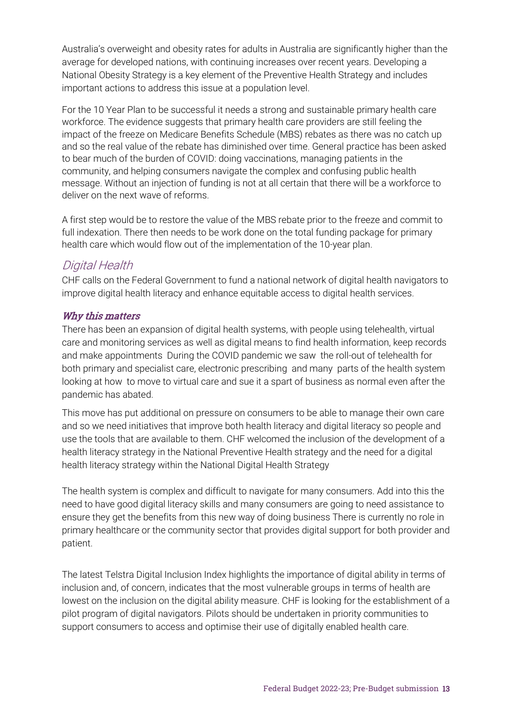Australia's overweight and obesity rates for adults in Australia are significantly higher than the average for developed nations, with continuing increases over recent years. Developing a National Obesity Strategy is a key element of the Preventive Health Strategy and includes important actions to address this issue at a population level.

For the 10 Year Plan to be successful it needs a strong and sustainable primary health care workforce. The evidence suggests that primary health care providers are still feeling the impact of the freeze on Medicare Benefits Schedule (MBS) rebates as there was no catch up and so the real value of the rebate has diminished over time. General practice has been asked to bear much of the burden of COVID: doing vaccinations, managing patients in the community, and helping consumers navigate the complex and confusing public health message. Without an injection of funding is not at all certain that there will be a workforce to deliver on the next wave of reforms.

A first step would be to restore the value of the MBS rebate prior to the freeze and commit to full indexation. There then needs to be work done on the total funding package for primary health care which would flow out of the implementation of the 10-year plan.

#### <span id="page-11-0"></span>Digital Health

CHF calls on the Federal Government to fund a national network of digital health navigators to improve digital health literacy and enhance equitable access to digital health services.

#### Why this matters

There has been an expansion of digital health systems, with people using telehealth, virtual care and monitoring services as well as digital means to find health information, keep records and make appointments During the COVID pandemic we saw the roll-out of telehealth for both primary and specialist care, electronic prescribing and many parts of the health system looking at how to move to virtual care and sue it a spart of business as normal even after the pandemic has abated.

This move has put additional on pressure on consumers to be able to manage their own care and so we need initiatives that improve both health literacy and digital literacy so people and use the tools that are available to them. CHF welcomed the inclusion of the development of a health literacy strategy in the National Preventive Health strategy and the need for a digital health literacy strategy within the National Digital Health Strategy

The health system is complex and difficult to navigate for many consumers. Add into this the need to have good digital literacy skills and many consumers are going to need assistance to ensure they get the benefits from this new way of doing business There is currently no role in primary healthcare or the community sector that provides digital support for both provider and patient.

The latest Telstra Digital Inclusion Index highlights the importance of digital ability in terms of inclusion and, of concern, indicates that the most vulnerable groups in terms of health are lowest on the inclusion on the digital ability measure. CHF is looking for the establishment of a pilot program of digital navigators. Pilots should be undertaken in priority communities to support consumers to access and optimise their use of digitally enabled health care.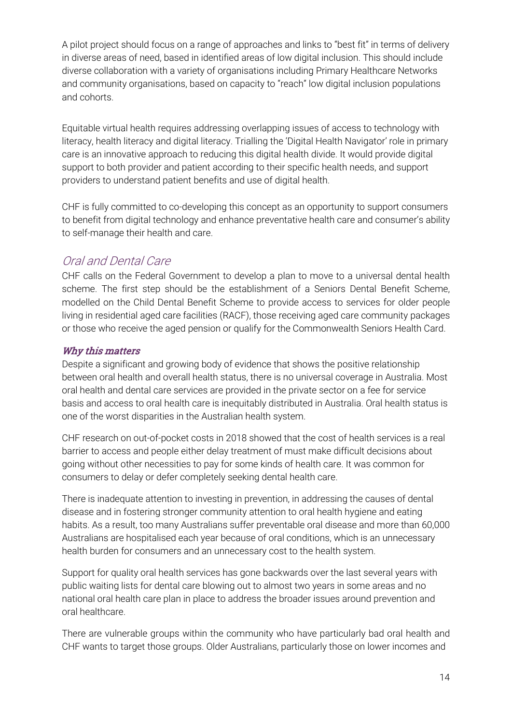A pilot project should focus on a range of approaches and links to "best fit" in terms of delivery in diverse areas of need, based in identified areas of low digital inclusion. This should include diverse collaboration with a variety of organisations including Primary Healthcare Networks and community organisations, based on capacity to "reach" low digital inclusion populations and cohorts.

Equitable virtual health requires addressing overlapping issues of access to technology with literacy, health literacy and digital literacy. Trialling the 'Digital Health Navigator' role in primary care is an innovative approach to reducing this digital health divide. It would provide digital support to both provider and patient according to their specific health needs, and support providers to understand patient benefits and use of digital health.

CHF is fully committed to co-developing this concept as an opportunity to support consumers to benefit from digital technology and enhance preventative health care and consumer's ability to self-manage their health and care.

#### <span id="page-12-0"></span>Oral and Dental Care

CHF calls on the Federal Government to develop a plan to move to a universal dental health scheme. The first step should be the establishment of a Seniors Dental Benefit Scheme, modelled on the Child Dental Benefit Scheme to provide access to services for older people living in residential aged care facilities (RACF), those receiving aged care community packages or those who receive the aged pension or qualify for the Commonwealth Seniors Health Card.

#### Why this matters

Despite a significant and growing body of evidence that shows the positive relationship between oral health and overall health status, there is no universal coverage in Australia. Most oral health and dental care services are provided in the private sector on a fee for service basis and access to oral health care is inequitably distributed in Australia. Oral health status is one of the worst disparities in the Australian health system.

CHF research on out-of-pocket costs in 2018 showed that the cost of health services is a real barrier to access and people either delay treatment of must make difficult decisions about going without other necessities to pay for some kinds of health care. It was common for consumers to delay or defer completely seeking dental health care.

There is inadequate attention to investing in prevention, in addressing the causes of dental disease and in fostering stronger community attention to oral health hygiene and eating habits. As a result, too many Australians suffer preventable oral disease and more than 60,000 Australians are hospitalised each year because of oral conditions, which is an unnecessary health burden for consumers and an unnecessary cost to the health system.

Support for quality oral health services has gone backwards over the last several years with public waiting lists for dental care blowing out to almost two years in some areas and no national oral health care plan in place to address the broader issues around prevention and oral healthcare.

There are vulnerable groups within the community who have particularly bad oral health and CHF wants to target those groups. Older Australians, particularly those on lower incomes and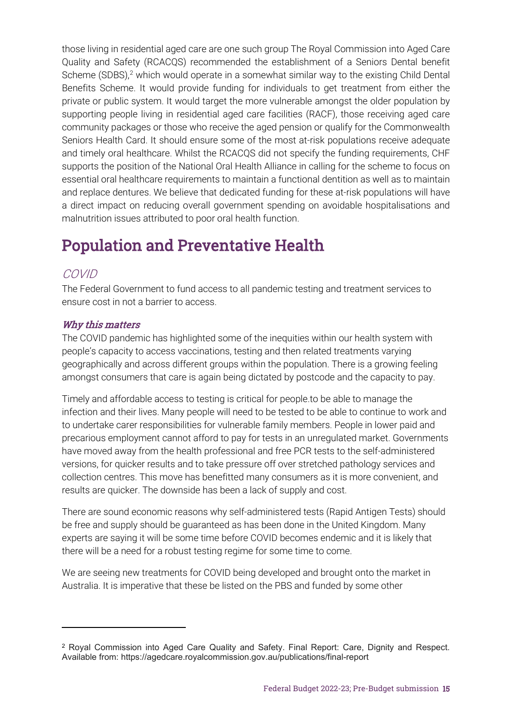those living in residential aged care are one such group The Royal Commission into Aged Care Quality and Safety (RCACQS) recommended the establishment of a Seniors Dental benefit Scheme  $(SDBS)<sup>2</sup>$  $(SDBS)<sup>2</sup>$  $(SDBS)<sup>2</sup>$  which would operate in a somewhat similar way to the existing Child Dental Benefits Scheme. It would provide funding for individuals to get treatment from either the private or public system. It would target the more vulnerable amongst the older population by supporting people living in residential aged care facilities (RACF), those receiving aged care community packages or those who receive the aged pension or qualify for the Commonwealth Seniors Health Card. It should ensure some of the most at-risk populations receive adequate and timely oral healthcare. Whilst the RCACQS did not specify the funding requirements, CHF supports the position of the National Oral Health Alliance in calling for the scheme to focus on essential oral healthcare requirements to maintain a functional dentition as well as to maintain and replace dentures. We believe that dedicated funding for these at-risk populations will have a direct impact on reducing overall government spending on avoidable hospitalisations and malnutrition issues attributed to poor oral health function.

### <span id="page-13-0"></span>Population and Preventative Health

#### <span id="page-13-1"></span>COVID

The Federal Government to fund access to all pandemic testing and treatment services to ensure cost in not a barrier to access.

#### Why this matters

The COVID pandemic has highlighted some of the inequities within our health system with people's capacity to access vaccinations, testing and then related treatments varying geographically and across different groups within the population. There is a growing feeling amongst consumers that care is again being dictated by postcode and the capacity to pay.

Timely and affordable access to testing is critical for people.to be able to manage the infection and their lives. Many people will need to be tested to be able to continue to work and to undertake carer responsibilities for vulnerable family members. People in lower paid and precarious employment cannot afford to pay for tests in an unregulated market. Governments have moved away from the health professional and free PCR tests to the self-administered versions, for quicker results and to take pressure off over stretched pathology services and collection centres. This move has benefitted many consumers as it is more convenient, and results are quicker. The downside has been a lack of supply and cost.

There are sound economic reasons why self-administered tests (Rapid Antigen Tests) should be free and supply should be guaranteed as has been done in the United Kingdom. Many experts are saying it will be some time before COVID becomes endemic and it is likely that there will be a need for a robust testing regime for some time to come.

We are seeing new treatments for COVID being developed and brought onto the market in Australia. It is imperative that these be listed on the PBS and funded by some other

<span id="page-13-2"></span><sup>2</sup> Royal Commission into Aged Care Quality and Safety. Final Report: Care, Dignity and Respect. Available from: https://agedcare.royalcommission.gov.au/publications/final-report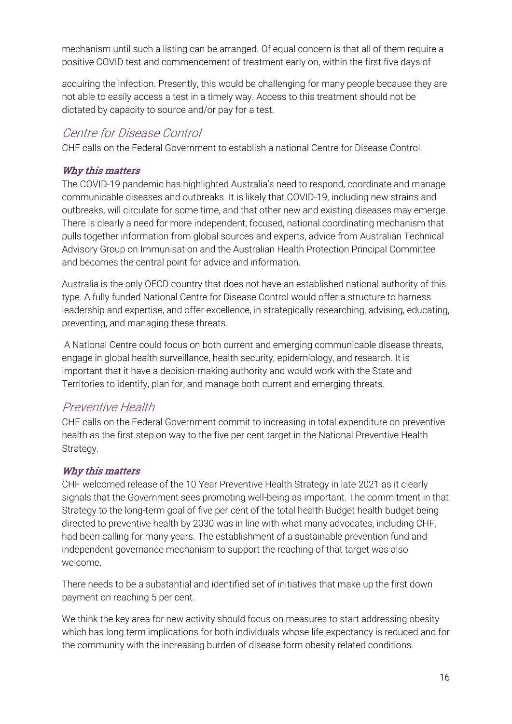mechanism until such a listing can be arranged. Of equal concern is that all of them require a positive COVID test and commencement of treatment early on, within the first five days of

acquiring the infection. Presently, this would be challenging for many people because they are not able to easily access a test in a timely way. Access to this treatment should not be dictated by capacity to source and/or pay for a test.

### <span id="page-14-0"></span>Centre for Disease Control

CHF calls on the Federal Government to establish a national Centre for Disease Control.

#### Why this matters

The COVID-19 pandemic has highlighted Australia's need to respond, coordinate and manage communicable diseases and outbreaks. It is likely that COVID-19, including new strains and outbreaks, will circulate for some time, and that other new and existing diseases may emerge. There is clearly a need for more independent, focused, national coordinating mechanism that pulls together information from global sources and experts, advice from Australian Technical Advisory Group on Immunisation and the Australian Health Protection Principal Committee and becomes the central point for advice and information.

Australia is the only OECD country that does not have an established national authority of this type. A fully funded National Centre for Disease Control would offer a structure to harness leadership and expertise, and offer excellence, in strategically researching, advising, educating, preventing, and managing these threats.

A National Centre could focus on both current and emerging communicable disease threats, engage in global health surveillance, health security, epidemiology, and research. It is important that it have a decision-making authority and would work with the State and Territories to identify, plan for, and manage both current and emerging threats.

#### <span id="page-14-1"></span>Preventive Health

CHF calls on the Federal Government commit to increasing in total expenditure on preventive health as the first step on way to the five per cent target in the National Preventive Health Strategy.

#### Why this matters

CHF welcomed release of the 10 Year Preventive Health Strategy in late 2021 as it clearly signals that the Government sees promoting well-being as important. The commitment in that Strategy to the long-term goal of five per cent of the total health Budget health budget being directed to preventive health by 2030 was in line with what many advocates, including CHF, had been calling for many years. The establishment of a sustainable prevention fund and independent governance mechanism to support the reaching of that target was also welcome.

There needs to be a substantial and identified set of initiatives that make up the first down payment on reaching 5 per cent.

We think the key area for new activity should focus on measures to start addressing obesity which has long term implications for both individuals whose life expectancy is reduced and for the community with the increasing burden of disease form obesity related conditions.